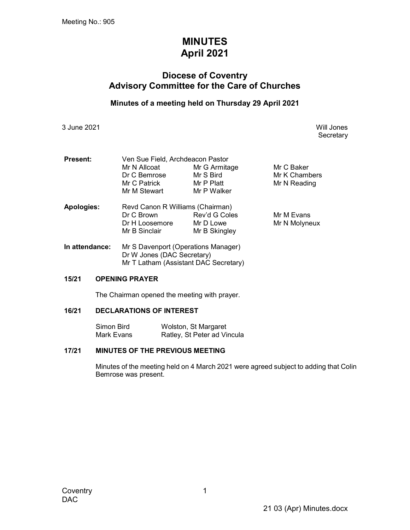# MINUTES April 2021

# Diocese of Coventry Advisory Committee for the Care of Churches

## Minutes of a meeting held on Thursday 29 April 2021

3 June 2021 Will Jones

**Secretary** 

| <b>Present:</b>   | Ven Sue Field, Archdeacon Pastor    |               |               |  |
|-------------------|-------------------------------------|---------------|---------------|--|
|                   | Mr N Allcoat                        | Mr G Armitage | Mr C Baker    |  |
|                   | Dr C Bemrose                        | Mr S Bird     | Mr K Chambers |  |
|                   | Mr C Patrick                        | Mr P Platt    |               |  |
|                   | Mr M Stewart                        | Mr P Walker   |               |  |
| <b>Apologies:</b> | Revd Canon R Williams (Chairman)    |               |               |  |
|                   | Dr C Brown                          | Rev'd G Coles | Mr M Evans    |  |
|                   | Dr H Loosemore                      | Mr D Lowe     | Mr N Molyneux |  |
|                   | Mr B Sinclair                       | Mr B Skingley |               |  |
| In attendance:    | Mr S Davenport (Operations Manager) |               |               |  |

**In attendance:** Mr S Davenport (Operations Manager) Dr W Jones (DAC Secretary) Mr T Latham (Assistant DAC Secretary)

#### 15/21 OPENING PRAYER

The Chairman opened the meeting with prayer.

#### 16/21 DECLARATIONS OF INTEREST

 Simon Bird Wolston, St Margaret Mark Evans Ratley, St Peter ad Vincula

#### 17/21 MINUTES OF THE PREVIOUS MEETING

Minutes of the meeting held on 4 March 2021 were agreed subject to adding that Colin Bemrose was present.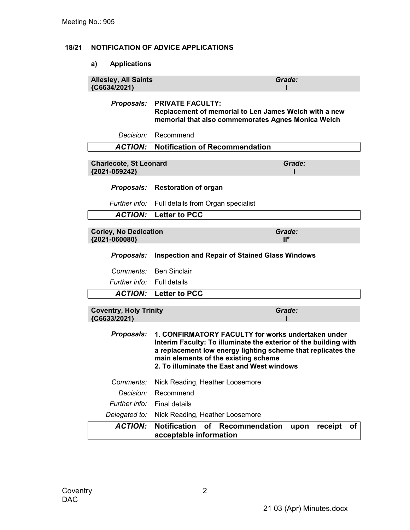### 18/21 NOTIFICATION OF ADVICE APPLICATIONS

# a) Applications

| <b>Allesley, All Saints</b><br>{C6634/2021}    |                                                                                                                                                                                                                                                                              | Grade:                |
|------------------------------------------------|------------------------------------------------------------------------------------------------------------------------------------------------------------------------------------------------------------------------------------------------------------------------------|-----------------------|
| <b>Proposals:</b>                              | <b>PRIVATE FACULTY:</b><br>Replacement of memorial to Len James Welch with a new<br>memorial that also commemorates Agnes Monica Welch                                                                                                                                       |                       |
| Decision:                                      | Recommend                                                                                                                                                                                                                                                                    |                       |
| <b>ACTION:</b>                                 | <b>Notification of Recommendation</b>                                                                                                                                                                                                                                        |                       |
| <b>Charlecote, St Leonard</b><br>{2021-059242} |                                                                                                                                                                                                                                                                              | Grade:                |
| Proposals:                                     | <b>Restoration of organ</b>                                                                                                                                                                                                                                                  |                       |
| Further info:                                  | Full details from Organ specialist                                                                                                                                                                                                                                           |                       |
| <b>ACTION:</b>                                 | <b>Letter to PCC</b>                                                                                                                                                                                                                                                         |                       |
| <b>Corley, No Dedication</b><br>{2021-060080}  |                                                                                                                                                                                                                                                                              | Grade:<br>$II^*$      |
| <b>Proposals:</b>                              | <b>Inspection and Repair of Stained Glass Windows</b>                                                                                                                                                                                                                        |                       |
| Comments:                                      | <b>Ben Sinclair</b>                                                                                                                                                                                                                                                          |                       |
| Further info:                                  | <b>Full details</b>                                                                                                                                                                                                                                                          |                       |
| <b>ACTION:</b>                                 | <b>Letter to PCC</b>                                                                                                                                                                                                                                                         |                       |
| <b>Coventry, Holy Trinity</b><br>{C6633/2021}  |                                                                                                                                                                                                                                                                              | Grade:                |
| Proposals:                                     | 1. CONFIRMATORY FACULTY for works undertaken under<br>Interim Faculty: To illuminate the exterior of the building with<br>a replacement low energy lighting scheme that replicates the<br>main elements of the existing scheme<br>2. To illuminate the East and West windows |                       |
| Comments:                                      | Nick Reading, Heather Loosemore                                                                                                                                                                                                                                              |                       |
| Decision:                                      | Recommend                                                                                                                                                                                                                                                                    |                       |
| Further info:                                  | <b>Final details</b>                                                                                                                                                                                                                                                         |                       |
| Delegated to:                                  | Nick Reading, Heather Loosemore                                                                                                                                                                                                                                              |                       |
| <b>ACTION:</b>                                 | <b>Notification</b><br>of<br>Recommendation<br>acceptable information                                                                                                                                                                                                        | receipt<br>upon<br>οf |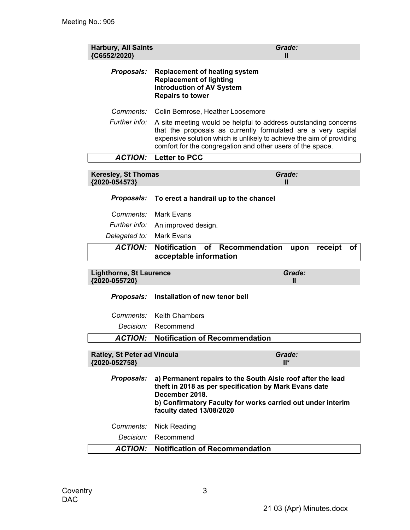| <b>Harbury, All Saints</b><br>{C6552/2020}          |                                                                                                                                                                                                                                                                        | Grade:<br>Ш           |
|-----------------------------------------------------|------------------------------------------------------------------------------------------------------------------------------------------------------------------------------------------------------------------------------------------------------------------------|-----------------------|
| Proposals:                                          | <b>Replacement of heating system</b><br><b>Replacement of lighting</b><br><b>Introduction of AV System</b><br><b>Repairs to tower</b>                                                                                                                                  |                       |
| Comments:                                           | Colin Bemrose, Heather Loosemore                                                                                                                                                                                                                                       |                       |
| Further info:                                       | A site meeting would be helpful to address outstanding concerns<br>that the proposals as currently formulated are a very capital<br>expensive solution which is unlikely to achieve the aim of providing<br>comfort for the congregation and other users of the space. |                       |
| <b>ACTION:</b>                                      | Letter to PCC                                                                                                                                                                                                                                                          |                       |
| <b>Keresley, St Thomas</b><br>{2020-054573}         |                                                                                                                                                                                                                                                                        | Grade:<br>Ш           |
| <b>Proposals:</b>                                   | To erect a handrail up to the chancel                                                                                                                                                                                                                                  |                       |
| Comments:                                           | Mark Evans                                                                                                                                                                                                                                                             |                       |
| Further info:                                       | An improved design.                                                                                                                                                                                                                                                    |                       |
| Delegated to:                                       | <b>Mark Evans</b>                                                                                                                                                                                                                                                      |                       |
| <b>ACTION:</b>                                      | <b>Notification</b><br>of<br>Recommendation<br>acceptable information                                                                                                                                                                                                  | receipt<br>Οf<br>upon |
| <b>Lighthorne, St Laurence</b><br>{2020-055720}     |                                                                                                                                                                                                                                                                        | Grade:<br>Ш           |
| <b>Proposals:</b>                                   | Installation of new tenor bell                                                                                                                                                                                                                                         |                       |
| Comments:                                           | <b>Keith Chambers</b>                                                                                                                                                                                                                                                  |                       |
| Decision:                                           | Recommend                                                                                                                                                                                                                                                              |                       |
| <b>ACTION:</b>                                      | <b>Notification of Recommendation</b>                                                                                                                                                                                                                                  |                       |
| <b>Ratley, St Peter ad Vincula</b><br>{2020-052758} |                                                                                                                                                                                                                                                                        | Grade:<br>$II^*$      |
| <b>Proposals:</b>                                   | a) Permanent repairs to the South Aisle roof after the lead<br>theft in 2018 as per specification by Mark Evans date<br>December 2018.<br>b) Confirmatory Faculty for works carried out under interim<br>faculty dated 13/08/2020                                      |                       |
| Comments:                                           | <b>Nick Reading</b>                                                                                                                                                                                                                                                    |                       |
| Decision:                                           | Recommend                                                                                                                                                                                                                                                              |                       |
| <b>ACTION:</b>                                      | <b>Notification of Recommendation</b>                                                                                                                                                                                                                                  |                       |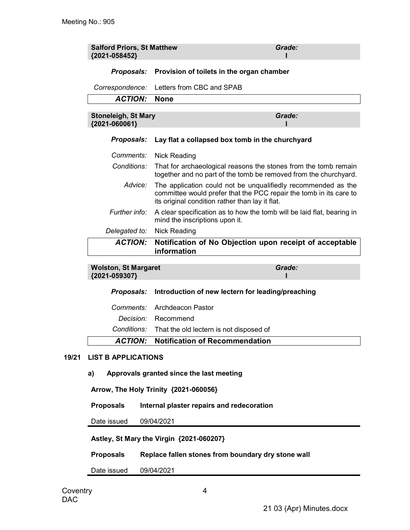| <b>Salford Priors, St Matthew</b><br>{2021-058452} |                                                                                                                                                                                        | Grade: |  |
|----------------------------------------------------|----------------------------------------------------------------------------------------------------------------------------------------------------------------------------------------|--------|--|
|                                                    | Proposals: Provision of toilets in the organ chamber                                                                                                                                   |        |  |
| Correspondence:                                    | Letters from CBC and SPAB                                                                                                                                                              |        |  |
| <b>ACTION:</b>                                     | <b>None</b>                                                                                                                                                                            |        |  |
| <b>Stoneleigh, St Mary</b><br>{2021-060061}        |                                                                                                                                                                                        | Grade: |  |
| <b>Proposals:</b>                                  | Lay flat a collapsed box tomb in the churchyard                                                                                                                                        |        |  |
| Comments:                                          | Nick Reading                                                                                                                                                                           |        |  |
| Conditions:                                        | That for archaeological reasons the stones from the tomb remain<br>together and no part of the tomb be removed from the churchyard.                                                    |        |  |
| Advice:                                            | The application could not be unqualifiedly recommended as the<br>committee would prefer that the PCC repair the tomb in its care to<br>its original condition rather than lay it flat. |        |  |
| Further info:                                      | A clear specification as to how the tomb will be laid flat, bearing in<br>mind the inscriptions upon it.                                                                               |        |  |
| Delegated to:                                      | <b>Nick Reading</b>                                                                                                                                                                    |        |  |
| <b>ACTION:</b>                                     | Notification of No Objection upon receipt of acceptable<br>information                                                                                                                 |        |  |
| <b>Wolston, St Margaret</b><br>{2021-059307}       |                                                                                                                                                                                        | Grade: |  |
|                                                    | Proposals: Introduction of now loctorn for loading/proaching                                                                                                                           |        |  |

|  | <b>ACTION:</b> Notification of Recommendation                |
|--|--------------------------------------------------------------|
|  | Conditions: That the old lectern is not disposed of          |
|  | <i>Decision:</i> Recommend                                   |
|  | Comments: Archdeacon Pastor                                  |
|  | Proposals: Introduction of new lectern for leading/preaching |

#### 19/21 LIST B APPLICATIONS

a) Approvals granted since the last meeting

Arrow, The Holy Trinity {2021-060056}

Proposals Internal plaster repairs and redecoration

Date issued 09/04/2021

Astley, St Mary the Virgin {2021-060207}

Proposals Replace fallen stones from boundary dry stone wall

Date issued 09/04/2021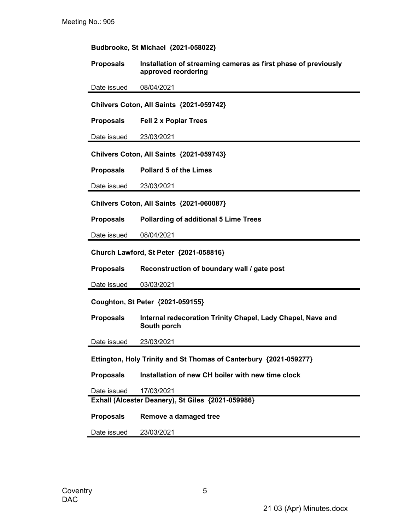| Budbrooke, St Michael {2021-058022}                               |                                                                                       |  |  |
|-------------------------------------------------------------------|---------------------------------------------------------------------------------------|--|--|
| <b>Proposals</b>                                                  | Installation of streaming cameras as first phase of previously<br>approved reordering |  |  |
| Date issued                                                       | 08/04/2021                                                                            |  |  |
|                                                                   | Chilvers Coton, All Saints {2021-059742}                                              |  |  |
| <b>Proposals</b>                                                  | <b>Fell 2 x Poplar Trees</b>                                                          |  |  |
| Date issued                                                       | 23/03/2021                                                                            |  |  |
|                                                                   | Chilvers Coton, All Saints {2021-059743}                                              |  |  |
| <b>Proposals</b>                                                  | <b>Pollard 5 of the Limes</b>                                                         |  |  |
| Date issued                                                       | 23/03/2021                                                                            |  |  |
|                                                                   | Chilvers Coton, All Saints {2021-060087}                                              |  |  |
| <b>Proposals</b>                                                  | <b>Pollarding of additional 5 Lime Trees</b>                                          |  |  |
| Date issued                                                       | 08/04/2021                                                                            |  |  |
|                                                                   | Church Lawford, St Peter {2021-058816}                                                |  |  |
| <b>Proposals</b>                                                  | Reconstruction of boundary wall / gate post                                           |  |  |
| Date issued                                                       | 03/03/2021                                                                            |  |  |
| Coughton, St Peter {2021-059155}                                  |                                                                                       |  |  |
| <b>Proposals</b>                                                  | Internal redecoration Trinity Chapel, Lady Chapel, Nave and<br>South porch            |  |  |
| Date issued                                                       | 23/03/2021                                                                            |  |  |
| Ettington, Holy Trinity and St Thomas of Canterbury {2021-059277} |                                                                                       |  |  |
| <b>Proposals</b>                                                  | Installation of new CH boiler with new time clock                                     |  |  |
| Date issued                                                       | 17/03/2021                                                                            |  |  |
|                                                                   | Exhall (Alcester Deanery), St Giles {2021-059986}                                     |  |  |
| <b>Proposals</b>                                                  | Remove a damaged tree                                                                 |  |  |
| Date issued                                                       | 23/03/2021                                                                            |  |  |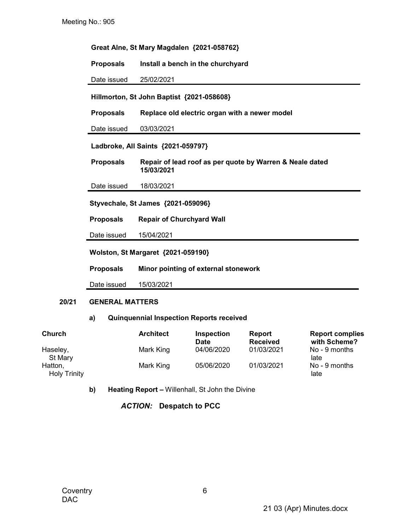| Great Alne, St Mary Magdalen {2021-058762} |                                                                        |  |  |
|--------------------------------------------|------------------------------------------------------------------------|--|--|
| <b>Proposals</b>                           | Install a bench in the churchyard                                      |  |  |
| Date issued                                | 25/02/2021                                                             |  |  |
|                                            | Hillmorton, St John Baptist {2021-058608}                              |  |  |
| <b>Proposals</b>                           | Replace old electric organ with a newer model                          |  |  |
| Date issued                                | 03/03/2021                                                             |  |  |
|                                            | Ladbroke, All Saints {2021-059797}                                     |  |  |
| <b>Proposals</b>                           | Repair of lead roof as per quote by Warren & Neale dated<br>15/03/2021 |  |  |
| Date issued                                | 18/03/2021                                                             |  |  |
| Styvechale, St James {2021-059096}         |                                                                        |  |  |
| <b>Proposals</b>                           | <b>Repair of Churchyard Wall</b>                                       |  |  |
| Date issued                                | 15/04/2021                                                             |  |  |
| <b>Wolston, St Margaret {2021-059190}</b>  |                                                                        |  |  |
| <b>Proposals</b>                           | Minor pointing of external stonework                                   |  |  |
| Date issued                                | 15/03/2021                                                             |  |  |

#### 20/21 GENERAL MATTERS

## a) Quinquennial Inspection Reports received

| <b>Church</b>                  | <b>Architect</b> | <b>Inspection</b><br><b>Date</b> | Report<br><b>Received</b> | <b>Report complies</b><br>with Scheme? |
|--------------------------------|------------------|----------------------------------|---------------------------|----------------------------------------|
| Haseley,<br>St Mary            | Mark King        | 04/06/2020                       | 01/03/2021                | No - 9 months<br>late                  |
| Hatton,<br><b>Holy Trinity</b> | Mark King        | 05/06/2020                       | 01/03/2021                | No - 9 months<br>late                  |

b) Heating Report - Willenhall, St John the Divine

ACTION: Despatch to PCC